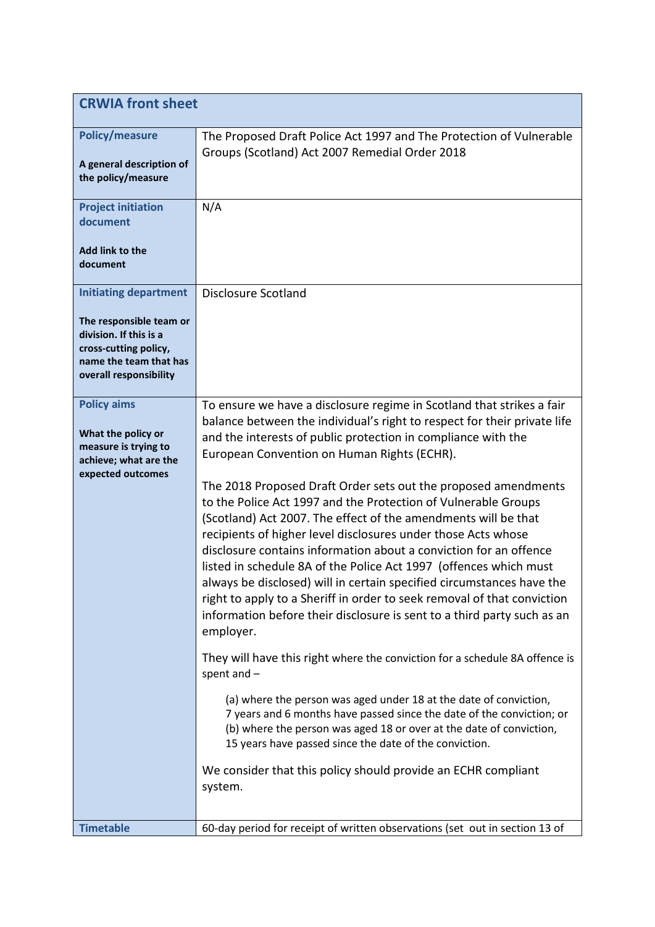| <b>CRWIA front sheet</b>                                                                                                                                       |                                                                                                                                                                                                                                                                                                                                                                                                                                                                                                                                                                                                                                                                                                                                                                                                                                                                                                                                                                                                                                                                                                                                                                                                                                                                                                                                                                                         |
|----------------------------------------------------------------------------------------------------------------------------------------------------------------|-----------------------------------------------------------------------------------------------------------------------------------------------------------------------------------------------------------------------------------------------------------------------------------------------------------------------------------------------------------------------------------------------------------------------------------------------------------------------------------------------------------------------------------------------------------------------------------------------------------------------------------------------------------------------------------------------------------------------------------------------------------------------------------------------------------------------------------------------------------------------------------------------------------------------------------------------------------------------------------------------------------------------------------------------------------------------------------------------------------------------------------------------------------------------------------------------------------------------------------------------------------------------------------------------------------------------------------------------------------------------------------------|
| <b>Policy/measure</b><br>A general description of<br>the policy/measure                                                                                        | The Proposed Draft Police Act 1997 and The Protection of Vulnerable<br>Groups (Scotland) Act 2007 Remedial Order 2018                                                                                                                                                                                                                                                                                                                                                                                                                                                                                                                                                                                                                                                                                                                                                                                                                                                                                                                                                                                                                                                                                                                                                                                                                                                                   |
| <b>Project initiation</b><br>document<br>Add link to the<br>document                                                                                           | N/A                                                                                                                                                                                                                                                                                                                                                                                                                                                                                                                                                                                                                                                                                                                                                                                                                                                                                                                                                                                                                                                                                                                                                                                                                                                                                                                                                                                     |
| <b>Initiating department</b><br>The responsible team or<br>division. If this is a<br>cross-cutting policy,<br>name the team that has<br>overall responsibility | <b>Disclosure Scotland</b>                                                                                                                                                                                                                                                                                                                                                                                                                                                                                                                                                                                                                                                                                                                                                                                                                                                                                                                                                                                                                                                                                                                                                                                                                                                                                                                                                              |
| <b>Policy aims</b><br>What the policy or<br>measure is trying to<br>achieve; what are the<br>expected outcomes                                                 | To ensure we have a disclosure regime in Scotland that strikes a fair<br>balance between the individual's right to respect for their private life<br>and the interests of public protection in compliance with the<br>European Convention on Human Rights (ECHR).<br>The 2018 Proposed Draft Order sets out the proposed amendments<br>to the Police Act 1997 and the Protection of Vulnerable Groups<br>(Scotland) Act 2007. The effect of the amendments will be that<br>recipients of higher level disclosures under those Acts whose<br>disclosure contains information about a conviction for an offence<br>listed in schedule 8A of the Police Act 1997 (offences which must<br>always be disclosed) will in certain specified circumstances have the<br>right to apply to a Sheriff in order to seek removal of that conviction<br>information before their disclosure is sent to a third party such as an<br>employer.<br>They will have this right where the conviction for a schedule 8A offence is<br>spent and -<br>(a) where the person was aged under 18 at the date of conviction,<br>7 years and 6 months have passed since the date of the conviction; or<br>(b) where the person was aged 18 or over at the date of conviction,<br>15 years have passed since the date of the conviction.<br>We consider that this policy should provide an ECHR compliant<br>system. |
| <b>Timetable</b>                                                                                                                                               | 60-day period for receipt of written observations (set out in section 13 of                                                                                                                                                                                                                                                                                                                                                                                                                                                                                                                                                                                                                                                                                                                                                                                                                                                                                                                                                                                                                                                                                                                                                                                                                                                                                                             |